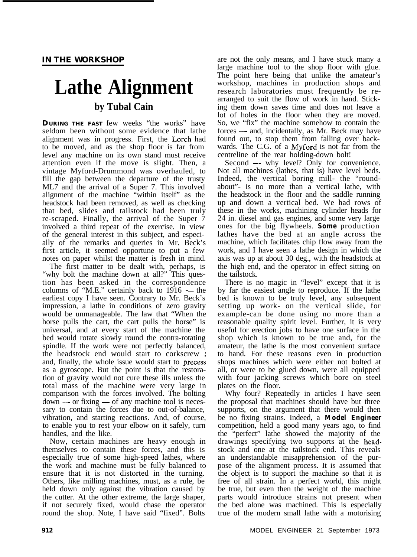# **Lathe Alignment by Tubal Cain**

**DURING THE FAST** few weeks "the works" have seldom been without some evidence that lathe alignment was in progress. First, the Larch had to be moved, and as the shop floor is far from level any machine on its own stand must receive attention even if the move is slight. Then, a vintage Myford-Drummond was overhauled, to fill the gap between the departure of the trusty ML7 and the arrival of a Super 7. This involved alignment of the machine "within itself" as the headstock had been removed, as well as checking that bed, slides and tailstock had been truly re-scraped. Finally, the arrival of the Super 7 involved a third repeat of the exercise. In view of the general interest in this subject, and especially of the remarks and queries in Mr. Beck's first article, it seemed opportune to put a few notes on paper whilst the matter is fresh in mind.

The first matter to be dealt with, perhaps, is "why bolt the machine down at all?" This question has been asked in the correspondence<br>columns of "M.E." certainly back to 1916 — the earliest copy I have seen. Contrary to Mr. Beck's impression, a lathe in conditions of zero gravity would be unmanageable. The law that "When the horse pulls the cart, the cart pulls the horse" is universal, and at every start of the machine the bed would rotate slowly round the contra-rotating spindle. If the work were not perfectly balanced, the headstock end would start to corkscrew ; and, finally, the whole issue would start to precess as a gyroscope. But the point is that the restoration of gravity would not cure these ills unless the total mass of the machine were very large in comparison with the forces involved. The bolting  $down - or fixing - of any machine tool is necessary.$ sary to contain the forces due to out-of-balance, vibration, and starting reactions. And, of course, to enable you to rest your elbow on it safely, turn handles, and the like.

Now, certain machines are heavy enough in themselves to contain these forces, and this is especially true of some high-speed lathes, where the work and machine must be fully balanced to ensure that it is not distorted in the turning. Others, like milling machines, must, as a rule, be held down only against the vibration caused by the cutter. At the other extreme, the large shaper, if not securely fixed, would chase the operator round the shop. Note, I have said "fixed". Bolts

are not the only means, and I have stuck many a large machine tool to the shop floor with glue. The point here being that unlike the amateur's workshop, machines in production shops and research laboratories must frequently be rearranged to suit the flow of work in hand. Sticking them down saves time and does not leave a lot of holes in the floor when they are moved. So, we "fix" the machine somehow to contain the forces — and, incidentally, as Mr. Beck may have found out, to stop them from falling over backwards. The C.G. of a Myford is not far from the centreline of the rear holding-down bolt!

Second - why level? Only for convenience. Not all machines (lathes, that is) have level beds. Indeed, the vertical boring mill- the "roundabout"- is no more than a vertical lathe, with the headstock in the floor and the saddle running up and down a vertical bed. We had rows of these in the works, machining cylinder heads for 24 in. diesel and gas engines, and some very large ones for the big flywheels. *Some* production lathes have the bed at an angle across the machine, which facilitates chip flow away from the work, and I have seen a lathe design in which the axis was up at about 30 deg., with the headstock at the high end, and the operator in effect sitting on the tailstock.

There is no magic in "level" except that it is by far the easiest angle to reproduce. If the lathe bed is known to be truly level, any subsequent setting up work- on the vertical slide, for example-can be done using no more than a reasonable quality spirit level. Further, it is very useful for erection jobs to have one surface in the shop which is known to be true and, for the amateur, the lathe is the most convenient surface to hand. For these reasons even in production shops machines which were either not bolted at all, or were to be glued down, were all equipped with four jacking screws which bore on steel plates on the floor.

Why four? Repeatedly in articles I have seen the proposal that machines should have but three supports, on the argument that there would then be no fixing strains. Indeed, a *Model Engineer* competition, held a good many years ago, to find the "perfect" lathe showed the majority of the drawings specifying two supports at the headstock and one at the tailstock end. This reveals an understandable misapprehension of the purpose of the alignment process. It is assumed that the object is to support the machine so that it is free of all strain. In a perfect world, this might be true, but even then the weight of the machine parts would introduce strains not present when the bed alone was machined. This is especially true of the modern small lathe with a motorising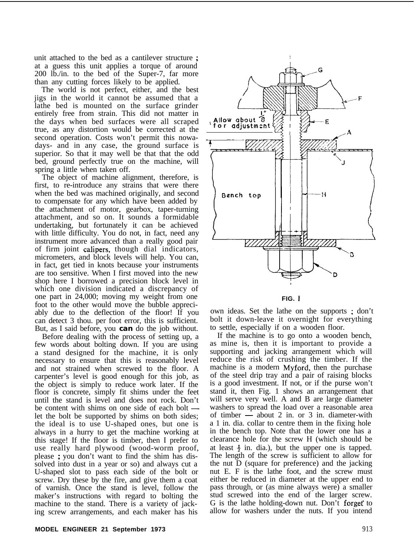unit attached to the bed as a cantilever structure ; at a guess this unit applies a torque of around 200 lb./in. to the bed of the Super-7, far more than any cutting forces likely to be applied.

The world is not perfect, either, and the best jigs in the world it cannot be assumed that a lathe bed is mounted on the surface grinder entirely free from strain. This did not matter in the days when bed surfaces were all scraped true, as any distortion would be corrected at the second operation. Costs won't permit this nowadays- and in any case, the ground surface is superior. So that it may well be that that the odd bed, ground perfectly true on the machine, will spring a little when taken off.

The object of machine alignment, therefore, is first, to re-introduce any strains that were there when the bed was machined originally, and second to compensate for any which have been added by the attachment of motor, gearbox, taper-turning attachment, and so on. It sounds a formidable undertaking, but fortunately it can be achieved with little difficulty. You do not, in fact, need any instrument more advanced than a really good pair of firm joint calipers, though dial indicators, micrometers, and block levels will help. You can, in fact, get tied in knots because your instruments are too sensitive. When I first moved into the new shop here I borrowed a precision block level in which one division indicated a discrepancy of one part in 24,000; moving my weight from one foot to the other would move the bubble appreciably due to the deflection of the floor! If you can detect 3 thou. per foot error, this is sufficient. But, as I said before, you *can* do the job without.

Before dealing with the process of setting up, a few words about bolting down. If you are using a stand designed for the machine, it is only necessary to ensure that this is reasonably level and not strained when screwed to the floor. A carpenter's level is good enough for this job, as the object is simply to reduce work later. If the floor is concrete, simply fit shims under the feet not is concrete, simply in simms under the recent until the stand is level and does not rock. Don't be content with shims on one side of each bolt let the bolt be supported by shims on both sides; the ideal is to use U-shaped ones, but one is always in a hurry to get the machine working at this stage! If the floor is timber, then I prefer to use really hard plywood (wood-worm proof, please ; you don't want to find the shim has dissolved into dust in a year or so) and always cut a U-shaped slot to pass each side of the bolt or screw. Dry these by the fire, and give them a coat of varnish. Once the stand is level, follow the maker's instructions with regard to bolting the machine to the stand. There is a variety of jacking screw arrangements, and each maker has his



**FIG.** <sup>I</sup>

own ideas. Set the lathe on the supports ; don't bolt it down-leave it overnight for everything to settle, especially if on a wooden floor.

If the machine is to go onto a wooden bench, as mine is, then it is important to provide a supporting and jacking arrangement which will reduce the risk of crushing the timber. If the machine is a modern Myford, then the purchase of the steel drip tray and a pair of raising blocks is a good investment. If not, or if the purse won't stand it, then Fig. 1 shows an arrangement that will serve very well. A and B are large diameter washers to spread the load over a reasonable area of timber  $\overline{-}$  about 2 in. or 3 in. diameter-with a 1 in. dia. collar to centre them in the fixing hole in the bench top. Note that the lower one has a clearance hole for the screw H (which should be at least  $\frac{1}{2}$  in. dia.), but the upper one is tapped. The length of the screw is sufficient to allow for the nut D (square for preference) and the jacking nut E. F is the lathe foot, and the screw must either be reduced in diameter at the upper end to pass through, or (as mine always were) a smaller stud screwed into the end of the larger screw. G is the lathe holding-down nut. Don't forget to allow for washers under the nuts. If you intend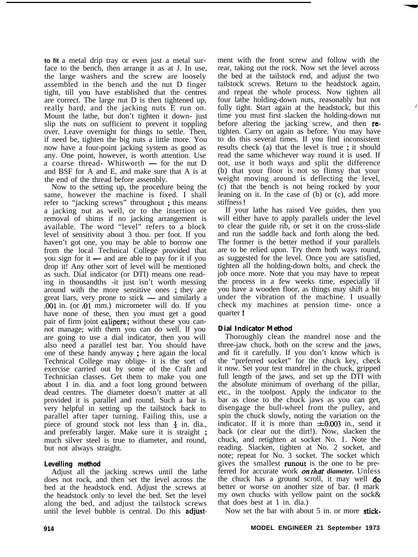**to fit** a metal drip tray or even just a metal surface to the bench, then arrange it as at J. In use, the large washers and the screw are loosely assembled in the bench and the nut D finger tight, till you have established that the centres are correct. The large nut D is then tightened up, really hard, and the jacking nuts E run on. Mount the lathe, but don't tighten it down- just slip the nuts on sufficient to prevent it toppling over. Leave overnight for things to settle. Then, if need be, tighten the big nuts a little more. You now have a four-point jacking system as good as any. One point, however, is worth attention. Use a coarse thread- Whitworth  $-$  for the nut D and BSF for A and E, and make sure that A is at the end of the thread before assembly.

Now to the setting up, the procedure being the same, however the machine is fixed. I shall refer to "jacking screws" throughout ; this means a jacking nut as well, or to the insertion or removal of shims if no jacking arrangement is available. The word "level" refers to a block level of sensitivity about 3 thou. per foot. If you haven't got one, you may be able to borrow one from the local Technical College provided that you sign for it  $-$  and are able to pay for it if you drop it! Any other sort of level will be mentioned as such. Dial indicator (or DTI) means one reading in thousandths -it just isn't worth messing around with the more sensitive ones ; they are<br>great liars, very prone to stick  $-$  and similarly a<br>great liars, very prone to stick  $-$  and similarly a .OOl in. (or .Ol mm.) micrometer will do. If you have none of these, then you must get a good pair of firm joint calipers ; without these you cannot manage; with them you can do well. If you are going to use a dial indicator, then you will also need a parallel test bar. You should have one of these handy anyway ; here again the local Technical College may oblige- it is the sort of exercise carried out by some of the Craft and Technician classes. Get them to make you one about 1 in. dia. and a foot long ground between dead centres. The diameter doesn't matter at all provided it is parallel and round. Such a bar is very helpful in setting up the tailstock back to parallel after taper turning. Failing this, use a piece of ground stock not less than  $\frac{1}{2}$  in. dia., and preferably larger. Make sure it is straight ; much silver steel is true to diameter, and round, but not always straight.

# **Levelling method**

Adjust all the jacking screws until the lathe does not rock, and then set the level across the bed at the headstock end. Adjust the screws at the headstock only to level the bed. Set the level along the bed, and adjust the tailstock screws until the level bubble is central. Do this adjustment with the front screw and follow with the rear, taking out the rock. Now set the level across the bed at the tailstock end, and adjust the two tailstock screws. Return to the headstock again, and repeat the whole process. Now tighten all four lathe holding-down nuts, reasonably but not fully tight. Start again at the headstock, but this time you must first slacken the holding-down nut before altering the jacking screw, and then **re**tighten. Carry on again as before. You may have to do this several times. If you find inconsistent results check (a) that the level is true ; it should read the same whichever way round it is used. If not, use it both ways and split the difference (b) that your floor is not so flimsy that your weight moving around is deflecting the level, (c) that the bench is not being rocked by your leaning on it. In the case of (b) or (c), add more stiffness !

i

If your lathe has raised Vee guides, then you will either have to apply parallels under the level to clear the guide rib, or set it on the cross-slide and run the saddle back and forth along the bed. The former is the better method if your parallels are to be relied upon. Try them both ways round, as suggested for the level. Once you are satisfied, tighten all the holding-down bolts, and check the job once more. Note that you may have to repeat the process in a few weeks time, especially if you have a wooden floor, as things may shift a bit under the vibration of the machine. I usually check my machines at pension time- once a quarter !

# **Dial Indicator Method**

Thoroughly clean the mandrel nose and the three-jaw chuck, both on the screw and the jaws, and fit it carefully. If you don't know which is the "preferred socket" for the chuck key, check it now. Set your test mandrel in the chuck, gripped full length of the jaws, and set up the DTI with the absolute minimum of overhang of the pillar, etc., in the toolpost. Apply the indicator to the bar as close to the chuck jaws as you can get, disengage the bull-wheel from the pulley, and spin the chuck slowly, noting the variation on the indicator. If it is more than  $\pm 0.003$  in., send it back (or clear out the dirt!). Now, slacken the chuck, and retighten at socket No. 1. Note the reading. Slacken, tighten at No. 2 socket, and note; repeat for No. 3 socket. The socket which gives the smallest runout is the one to be preferred for accurate work *on that diameter*. Unless the chuck has a ground scroll, it may well  $\phi$ better or worse on another size of bar. (I mark my own chucks with yellow paint on the sock& that does best at 1 in. dia.)

Now set the bar with about 5 in. or more stick-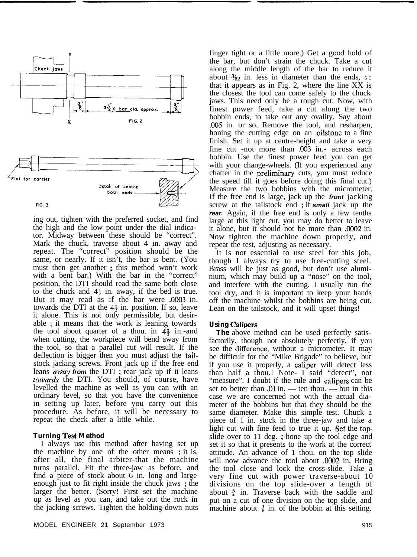

ing out, tighten with the preferred socket, and find the high and the low point under the dial indicator. Midway between these should be "correct". Mark the chuck, traverse about 4 in. away and repeat. The "correct" position should be the same, or nearly. If it isn't, the bar is bent. (You must then get another ; this method won't work with a bent bar.) With the bar in the "correct" position, the DTI should read the same both close to the chuck and  $4\frac{1}{2}$  in. away, if the bed is true. But it may read as if the bar were .0003 in. towards the DTI at the  $4\frac{1}{2}$  in. position. If so, leave it alone. This is not only permissible, but desirable ; it means that the work is leaning towards the tool about quarter of a thou. in  $4\frac{1}{2}$  in.-and when cutting, the workpiece will bend away from the tool, so that a parallel cut will result. If the deflection is bigger then you must adjust the tailstock jacking screws. Front jack up if the free end leans away *from* the DTI ; rear jack up if it leans towards the DTI. You should, of course, have levelled the machine as well as you can with an ordinary level, so that you have the convenience in setting up later, before you carry out this procedure. As before, it will be necessary to repeat the check after a little while.

# **Turning Test Method**

I always use this method after having set up the machine by one of the other means ; it is, after all, the final arbiter-that the machine turns parallel. Fit the three-jaw as before, and find a piece of stock about 6 in. long and large enough just to fit right inside the chuck jaws ; the larger the better. (Sorry! First set the machine up as level as you can, and take out the rock in the jacking screws. Tighten the holding-down nuts

finger tight or a little more.) Get a good hold of the bar, but don't strain the chuck. Take a cut along the middle length of the bar to reduce it about  $\frac{3}{2}$  in. less in diameter than the ends, so that it appears as in Fig. 2, where the line XX is the closest the tool can come safely to the chuck jaws. This need only be a rough cut. Now, with finest power feed, take a cut along the two bobbin ends, to take out any ovality. Say about .005 in. or so. Remove the tool, and resharpen, honing the cutting edge on an oilstone to a fine finish. Set it up at centre-height and take a very fine cut -not more than ,003 in.- across each bobbin. Use the finest power feed you can get with your change-wheels. (If you experienced any chatter in the preliminary cuts, you must reduce the speed till it goes before doing this final cut.) Measure the two bobbins with the micrometer. If the free end is large, jack up the *front* jacking screw at the tailstock end ; if *small* jack up the *rear.* Again, if the free end is only a few tenths large at this light cut, you may do better to leave it alone, but it should not be more than .0002 in. Now tighten the machine down properly, and repeat the test, adjusting as necessary.

It is not essential to use steel for this job, though I always try to use free-cutting steel. Brass will be just as good, but don't use aluminium, which may build up a "nose" on the tool, and interfere with the cutting. I usually run the tool dry, and it is important to keep your hands off the machine whilst the bobbins are being cut. Lean on the tailstock, and it will upset things!

# **Using Calipers**

**The** above method can be used perfectly satisfactorily, though not absolutely perfectly, if you see the difference, without a micrometer. It may be difficult for the "Mike Brigade" to believe, but if you use it properly, a caliper will detect less than half a thou.! Note- I said "detect", not "measure". I doubt if the rule and calipers can be set to better than  $.01$  in. — ten thou. — but in this case we are concerned not with the actual diameter of the bobbins but that they should be the same diameter. Make this simple test. Chuck a piece of 1 in. stock in the three-jaw and take a light cut with fine feed to true it up. Set the topslide over to 11 deg. ; hone up the tool edge and set it so that it presents to the work at the correct attitude. An advance of 1 thou. on the top slide will now advance the tool about .0002 in. Bring the tool close and lock the cross-slide. Take a very fine cut with power traverse-about 10 divisions on the top slide-over a length of about  $\frac{3}{4}$  in. Traverse back with the saddle and put on a cut of one division on the top slide, and machine about  $\frac{3}{8}$  in. of the bobbin at this setting.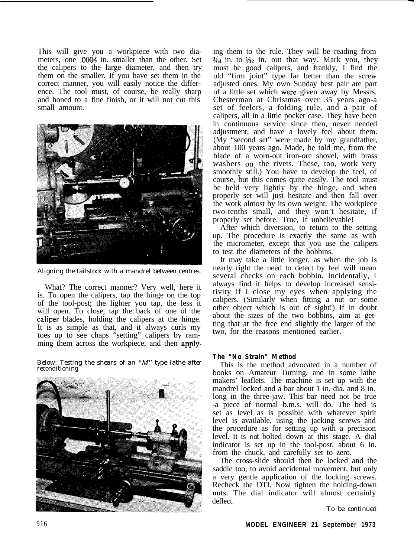This will give you a workpiece with two diameters, one .0004 in. smaller than the other. Set the calipers to the large diameter, and then try them on the smaller. If you have set them in the correct manner, you will easily notice the difference. The tool must, of course, be really sharp and honed to a fine finish, or it will not cut this small amount.



*Aligning the tailstock with a mandrel between centres.*

What? The correct manner? Very well, here it is. To open the calipers, tap the hinge on the top of the tool-post; the lighter you tap, the less it will open. To close, tap the back of one of the caliper blades, holding the calipers at the hinge. It is as simple as that, and it always curls my toes up to see chaps "setting" calipers by ramming them across the workpiece, and then apply-

*Below: Testing the shears of an "M" type lathe after reconditioning.*



ing them to the rule. They will be reading from  $\frac{1}{64}$  in. to  $\frac{1}{32}$  in. out that way. Mark you, they must be good calipers, and frankly, I find the old "firm joint" type far better than the screw adjusted ones. My own Sunday best pair are part of a little set which were given away by Messrs. Chesterman at Christmas over 35 years ago-a set of feelers, a folding rule, and a pair of calipers, all in a little pocket case. They have been in continuous service since then, never needed adjustment, and have a lovely feel about them. (My "second set" were made by my grandfather, about 100 years ago. Made, he told me, from the blade of a worn-out iron-ore shovel, with brass washers on the rivets. These, too, work very smoothly still.) You have to develop the feel, of course, but this comes quite easily. The tool must be held very lightly by the hinge, and when properly set will just hesitate and then fall over the work almost by its own weight. The workpiece two-tenths small, and they won't hesitate, if properly set before. True, if unbelievable!

After which diversion, to return to the setting up. The procedure is exactly the same as with the micrometer, except that you use the calipers to test the diameters of the bobbins.

It may take a little longer, as when the job is nearly right the need to detect by feel will mean several checks on each bobbin. Incidentally, I always find it helps to develop increased sensitivity if I close my eyes when applying the calipers. (Similarly when fitting a nut or some other object which is out of sight!) If in doubt about the sizes of the two bobbins, aim at getting that at the free end slightly the larger of the two, for the reasons mentioned earlier.

# **The "No Strain" Method**

This is the method advocated in a number of books on Amateur Turning, and in some lathe makers' leaflets. The machine is set up with the mandrel locked and a bar about 1 in. dia. and 8 in. long in the three-jaw. This bar need not be true -a piece of normal b.m.s. will do. The bed is set as level as is possible with whatever spirit level is available, using the jacking screws and the procedure as for setting up with a precision level. It is *not* bolted down at this stage. A dial indicator is set up in the tool-post, about 6 in. from the chuck, and carefully set to zero.

The cross-slide should then be locked and the saddle too, to avoid accidental movement, but only a very gentle application of the locking screws. Recheck the DTI. Now tighten the holding-down nuts. The dial indicator will almost certainly deflect.

*To be continued*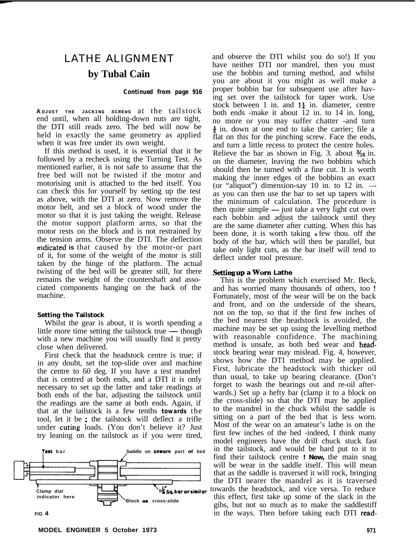# LATHE ALIGNMENT **by Tubal Cain**

#### *Continued from page 916*

**A DJUST THE JACKING SCREWS** at the tailstock end until, when all holding-down nuts are tight, the DTI still reads zero. The bed will now be held in exactly the same geometry as applied when it was free under its own weight.

If this method is used, it is essential that it be followed by a recheck using the Turning Test. As mentioned earlier, it is not safe to assume that the free bed will not be twisted if the motor and motorising unit is attached to the bed itself. You can check this for yourself by setting up the test as above, with the DTI at zero. Now remove the motor belt, and set a block of wood under the motor so that it is just taking the weight. Release the motor support platform arms, so that the motor rests on the block and is not restrained by the tension arms. Observe the DTI. The deflection mdicated **is** that caused by the motor-or part of it, for some of the weight of the motor is still taken by the hinge of the platform. The actual twisting of the bed will be greater still, for there remains the weight of the countershaft and associated components hanging on the back of the machine.

### **Setting the Tailstock**

Whilst the gear is about, it is worth spending a<br>little more time setting the tailstock true — though<br>with the tailstock true and the tail of the tail is not with a new machine you will usually find it pretty close when delivered.

First check that the headstock centre is true; if in any doubt, set the top-slide over and machine the centre to 60 deg. If you have a test mandrel that is centred at both ends, and a DTI it is only necessary to set up the latter and take readings at both ends of the bar, adjusting the tailstock until the readings are the same at both ends. Again, if that at the tailstock is a few tenths *towards* the tool, let it be ; the tailstock will deflect a trifle under cuting loads. (You don't believe it? Just try leaning on the tailstock as if you were tired,



and observe the DTI whilst you do so!) If you have neither DTI nor mandrel, then you must use the bobbin and turning method, and whilst you are about it you might as well make a proper bobbin bar for subsequent use after having set over the tailstock for taper work. Use stock between 1 in. and  $1\frac{1}{4}$  in. diameter, centre both ends -make it about 12 in. to 14 in. long, no more or you may suffer chatter -and turn  $\frac{3}{4}$  in. down at one end to take the carrier; file a flat on this for the pinching screw. Face the ends, and turn a little recess to protect the centre holes. Relieve the bar as shown in Fig. 3. about  $\frac{3}{16}$  in. on the diameter, leaving the two bobbins which should then be turned with a fine cut. It is worth making the inner edges of the bobbins an exact<br>(or "aliquot") dimension-say 10 in. to 12 in. as you can then use the bar to set up tapers with the minimum of calculation. The procedure is then quite simple — just take a very light cut over each bobbin and adjust the tailstock until they are the same diameter after cutting. When this has been done, it is worth taking **a** few thou. off the body of the bar, which will then be parallel, but take only light cuts, as the bar itself will tend to deflect under tool pressure.

# Setting up a Worn Lathe

This is the problem which exercised Mr. Beck, and has worried many thousands of others, too ! Fortunately, most of the wear will be on the back and front, and on the underside of the shears, not on the top, so that if the first few inches of the bed nearest the headstock is avoided, the machine may be set up using the levelling method with reasonable confidence. The machining method is unsafe, as both bed wear and headstock bearing wear may mislead. Fig. 4, however, shows how the DTI method may be applied. First, lubricate the headstock with thicker oil than usual, to take up bearing clearance. (Don't forget to wash the bearings out and re-oil afterwards.) Set up a hefty bar (clamp it to a block on the cross-slide) so that the DTI may be applied to the mandrel in the chuck whilst the saddle is sitting on a part of the bed that is less worn. Most of the wear on an amateur's lathe is on the first few inches of the bed -indeed, I think many model engineers have the drill chuck stuck fast in the tailstock, and would be hard put to it to find their tailstock centre **! Now,** the main snag will be wear in the saddle itself. This will mean that as the saddle is traversed it will rock, bringing the DTI nearer the mandrel as it is traversed **x**<sup>5</sup>sq.barorsimilar towards the headstock, and vice versa. To reduce **Block on** cross-slide this effect, first take up some of the slack in the gibs, but not so much as to make the saddlestiff **FIG 4** in the ways. Then before taking each DTI read-